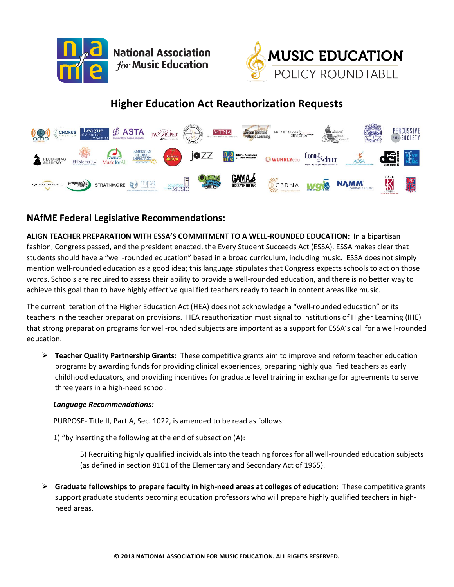



# **Higher Education Act Reauthorization Requests**



# **NAfME Federal Legislative Recommendations:**

**ALIGN TEACHER PREPARATION WITH ESSA'S COMMITMENT TO A WELL-ROUNDED EDUCATION:** In a bipartisan fashion, Congress passed, and the president enacted, the Every Student Succeeds Act (ESSA). ESSA makes clear that students should have a "well-rounded education" based in a broad curriculum, including music. ESSA does not simply mention well-rounded education as a good idea; this language stipulates that Congress expects schools to act on those words. Schools are required to assess their ability to provide a well-rounded education, and there is no better way to achieve this goal than to have highly effective qualified teachers ready to teach in content areas like music.

The current iteration of the Higher Education Act (HEA) does not acknowledge a "well-rounded education" or its teachers in the teacher preparation provisions. HEA reauthorization must signal to Institutions of Higher Learning (IHE) that strong preparation programs for well-rounded subjects are important as a support for ESSA's call for a well-rounded education.

➢ **Teacher Quality Partnership Grants:** These competitive grants aim to improve and reform teacher education programs by awarding funds for providing clinical experiences, preparing highly qualified teachers as early childhood educators, and providing incentives for graduate level training in exchange for agreements to serve three years in a high-need school.

## *Language Recommendations:*

PURPOSE- Title II, Part A, Sec. 1022, is amended to be read as follows:

1) "by inserting the following at the end of subsection (A):

5) Recruiting highly qualified individuals into the teaching forces for all well-rounded education subjects (as defined in section 8101 of the Elementary and Secondary Act of 1965).

➢ **Graduate fellowships to prepare faculty in high-need areas at colleges of education:** These competitive grants support graduate students becoming education professors who will prepare highly qualified teachers in highneed areas.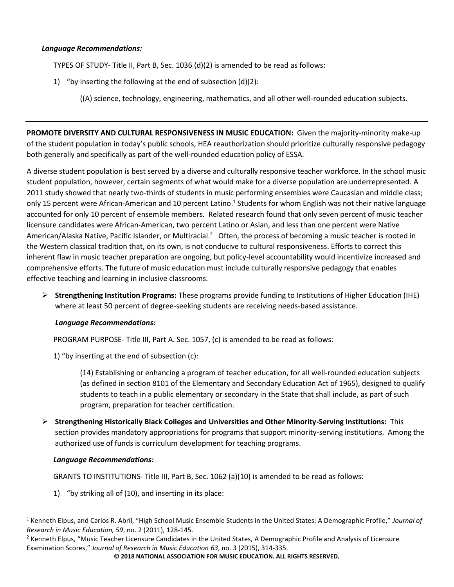## *Language Recommendations:*

TYPES OF STUDY- Title II, Part B, Sec. 1036 (d)(2) is amended to be read as follows:

- 1) "by inserting the following at the end of subsection (d)(2):
	- ((A) science, technology, engineering, mathematics, and all other well-rounded education subjects.

**PROMOTE DIVERSITY AND CULTURAL RESPONSIVENESS IN MUSIC EDUCATION:** Given the majority-minority make-up of the student population in today's public schools, HEA reauthorization should prioritize culturally responsive pedagogy both generally and specifically as part of the well-rounded education policy of ESSA.

A diverse student population is best served by a diverse and culturally responsive teacher workforce. In the school music student population, however, certain segments of what would make for a diverse population are underrepresented. A 2011 study showed that nearly two-thirds of students in music performing ensembles were Caucasian and middle class; only 15 percent were African-American and 10 percent Latino.<sup>1</sup> Students for whom English was not their native language accounted for only 10 percent of ensemble members. Related research found that only seven percent of music teacher licensure candidates were African-American, two percent Latino or Asian, and less than one percent were Native American/Alaska Native, Pacific Islander, or Multiracial.<sup>2</sup> Often, the process of becoming a music teacher is rooted in the Western classical tradition that, on its own, is not conducive to cultural responsiveness. Efforts to correct this inherent flaw in music teacher preparation are ongoing, but policy-level accountability would incentivize increased and comprehensive efforts. The future of music education must include culturally responsive pedagogy that enables effective teaching and learning in inclusive classrooms.

➢ **Strengthening Institution Programs:** These programs provide funding to Institutions of Higher Education (IHE) where at least 50 percent of degree-seeking students are receiving needs-based assistance.

# *Language Recommendations:*

PROGRAM PURPOSE- Title III, Part A. Sec. 1057, (c) is amended to be read as follows:

1) "by inserting at the end of subsection (c):

(14) Establishing or enhancing a program of teacher education, for all well-rounded education subjects (as defined in section 8101 of the Elementary and Secondary Education Act of 1965), designed to qualify students to teach in a public elementary or secondary in the State that shall include, as part of such program, preparation for teacher certification.

➢ **Strengthening Historically Black Colleges and Universities and Other Minority-Serving Institutions:** This section provides mandatory appropriations for programs that support minority-serving institutions. Among the authorized use of funds is curriculum development for teaching programs.

## *Language Recommendations:*

l

GRANTS TO INSTITUTIONS- Title III, Part B, Sec. 1062 (a)(10) is amended to be read as follows:

1) "by striking all of (10), and inserting in its place:

<sup>1</sup> Kenneth Elpus, and Carlos R. Abril, "High School Music Ensemble Students in the United States: A Demographic Profile," *Journal of Research in Music Education, 59*, no. 2 (2011), 128-145.

<sup>&</sup>lt;sup>2</sup> Kenneth Elpus, "Music Teacher Licensure Candidates in the United States, A Demographic Profile and Analysis of Licensure Examination Scores," *Journal of Research in Music Education 63*, no. 3 (2015), 314-335.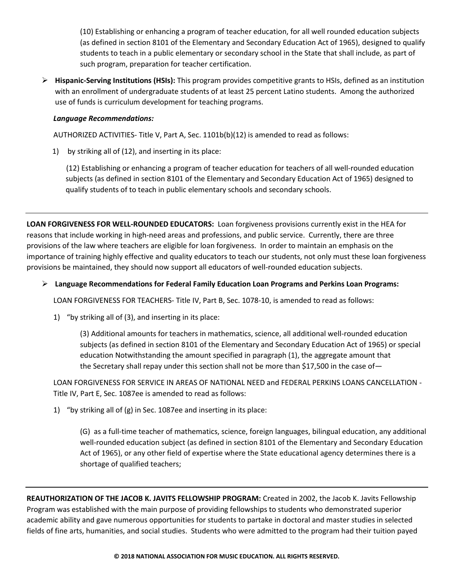(10) Establishing or enhancing a program of [teacher](https://www.law.cornell.edu/definitions/uscode.php?width=840&height=800&iframe=true&def_id=20-USC-1439577118-1492046377&term_occur=137&term_src=title:20:chapter:28:subchapter:III:part:B:section:1062) education, for all well rounded education subjects (as defined in section 8101 of the Elementary and Secondary Education Act of 1965), designed to qualify students to teach in a public elementary or [secondary school](https://www.law.cornell.edu/definitions/uscode.php?width=840&height=800&iframe=true&def_id=20-USC-431720352-300208765&term_occur=12&term_src=title:20:chapter:28:subchapter:III:part:B:section:1062) in the State that shall include, as part of such program, preparation for teacher certification.

➢ **Hispanic-Serving Institutions (HSIs):** This program provides competitive grants to HSIs, defined as an institution with an enrollment of undergraduate students of at least 25 percent Latino students. Among the authorized use of funds is curriculum development for teaching programs.

# *Language Recommendations:*

AUTHORIZED ACTIVITIES- Title V, Part A, Sec. 1101b(b)(12) is amended to read as follows:

1) by striking all of (12), and inserting in its place:

(12) Establishing or enhancing a program of [teacher](https://www.law.cornell.edu/definitions/uscode.php?width=840&height=800&iframe=true&def_id=20-USC-1439577118-1492046377&term_occur=169&term_src=title:20:chapter:28:subchapter:V:part:A:section:1101b) education for teachers of all well-rounded education subjects (as defined in section 8101 of the Elementary and Secondary Education Act of 1965) designed to qualify students of to teach in public [elementary schools](https://www.law.cornell.edu/definitions/uscode.php?width=840&height=800&iframe=true&def_id=20-USC-1852188632-1672252133&term_occur=34&term_src=title:20:chapter:28:subchapter:V:part:A:section:1101b) and secondary schools.

**LOAN FORGIVENESS FOR WELL-ROUNDED EDUCATORS:** Loan forgiveness provisions currently exist in the HEA for reasons that include working in high-need areas and professions, and public service. Currently, there are three provisions of the law where teachers are eligible for loan forgiveness. In order to maintain an emphasis on the importance of training highly effective and quality educators to teach our students, not only must these loan forgiveness provisions be maintained, they should now support all educators of well-rounded education subjects.

# ➢ **Language Recommendations for Federal Family Education Loan Programs and Perkins Loan Programs:**

LOAN FORGIVENESS FOR TEACHERS- Title IV, Part B, Sec. 1078-10, is amended to read as follows:

1) "by striking all of (3), and inserting in its place:

(3) Additional amounts for teachers in mathematics, science, all additional well-rounded education subjects (as defined in section 8101 of the Elementary and Secondary Education Act of 1965) or special education Notwithstanding the amount specified in paragraph (1), the aggregate amount that the [Secretary](https://www.law.cornell.edu/definitions/uscode.php?width=840&height=800&iframe=true&def_id=20-USC-1264422296-300208764&term_occur=823&term_src=title:20:chapter:28:subchapter:IV:part:B:section:1078%E2%80%9310) shall repay under this section shall not be more than \$17,500 in the case of-

LOAN FORGIVENESS FOR SERVICE IN AREAS OF NATIONAL NEED and FEDERAL PERKINS LOANS CANCELLATION - Title IV, Part E, Sec. 1087ee is amended to read as follows:

1) "by striking all of (g) in Sec. 1087ee and inserting in its place:

(G) as a full-time [teacher](https://www.law.cornell.edu/definitions/uscode.php?width=840&height=800&iframe=true&def_id=20-USC-1439577118-1492046377&term_occur=165&term_src=title:20:chapter:28:subchapter:IV:part:E:section:1087ee) of mathematics, science, foreign languages, bilingual education, any additional well-rounded education subject (as defined in section 8101 of the Elementary and Secondary Education Act of 1965), or any other field of expertise where the [State educational agency](https://www.law.cornell.edu/definitions/uscode.php?width=840&height=800&iframe=true&def_id=20-USC-1600406783-300208740&term_occur=20&term_src=title:20:chapter:28:subchapter:IV:part:E:section:1087ee) determines there is a shortage of qualified teachers;

**REAUTHORIZATION OF THE JACOB K. JAVITS FELLOWSHIP PROGRAM:** Created in 2002, the Jacob K. Javits Fellowship Program was established with the main purpose of providing fellowships to students who demonstrated superior academic ability and gave numerous opportunities for students to partake in doctoral and master studies in selected fields of fine arts, humanities, and social studies. Students who were admitted to the program had their tuition payed